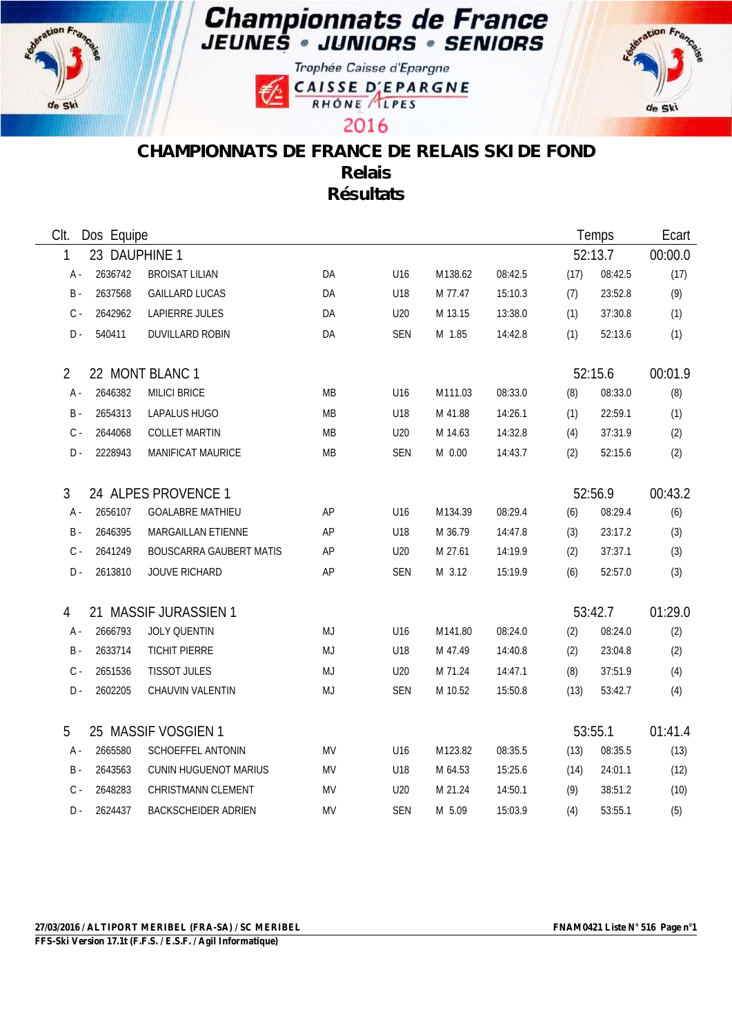





2016



## **CHAMPIONNATS DE FRANCE DE RELAIS SKI DE FOND Relais Résultats**

| CIt.               | Dos Equipe |                                |           |                 |          |         |      | Temps   | Ecart   |
|--------------------|------------|--------------------------------|-----------|-----------------|----------|---------|------|---------|---------|
| 23 DAUPHINE 1<br>1 |            |                                |           |                 |          |         |      | 52:13.7 | 00:00.0 |
| А -                | 2636742    | <b>BROISAT LILIAN</b>          | DA        | U16             | M138.62  | 08:42.5 | (17) | 08:42.5 | (17)    |
| $B -$              | 2637568    | <b>GAILLARD LUCAS</b>          | DA        | U18             | M 77.47  | 15:10.3 | (7)  | 23:52.8 | (9)     |
| $\mathsf{C}$ -     | 2642962    | LAPIERRE JULES                 | DA        | U20             | M 13.15  | 13:38.0 | (1)  | 37:30.8 | (1)     |
| $D -$              | 540411     | DUVILLARD ROBIN                | DA        | <b>SEN</b>      | M 1.85   | 14:42.8 | (1)  | 52:13.6 | (1)     |
| $\overline{2}$     |            | 22 MONT BLANC 1                |           |                 |          |         |      | 52:15.6 | 00:01.9 |
| A -                | 2646382    | <b>MILICI BRICE</b>            | МB        | U <sub>16</sub> | M111.03  | 08:33.0 | (8)  | 08:33.0 | (8)     |
| <b>B</b> -         | 2654313    | LAPALUS HUGO                   | MB        | U18             | M 41.88  | 14:26.1 | (1)  | 22:59.1 | (1)     |
| $\mathsf{C}$ -     | 2644068    | <b>COLLET MARTIN</b>           | MB        | U20             | M 14.63  | 14:32.8 | (4)  | 37:31.9 | (2)     |
| $D -$              | 2228943    | <b>MANIFICAT MAURICE</b>       | <b>MB</b> | <b>SEN</b>      | $M$ 0.00 | 14:43.7 | (2)  | 52:15.6 | (2)     |
| 3                  |            | 24 ALPES PROVENCE 1            |           |                 |          |         |      | 52:56.9 | 00:43.2 |
| A -                | 2656107    | <b>GOALABRE MATHIEU</b>        | AP        | U <sub>16</sub> | M134.39  | 08:29.4 | (6)  | 08:29.4 | (6)     |
| $B -$              | 2646395    | MARGAILLAN ETIENNE             | AP        | U18             | M 36.79  | 14:47.8 | (3)  | 23:17.2 | (3)     |
| $\mathsf{C}$ -     | 2641249    | <b>BOUSCARRA GAUBERT MATIS</b> | AP        | U20             | M 27.61  | 14:19.9 | (2)  | 37:37.1 | (3)     |
| $D -$              | 2613810    | <b>JOUVE RICHARD</b>           | AP        | <b>SEN</b>      | M 3.12   | 15:19.9 | (6)  | 52:57.0 | (3)     |
| 4                  |            | 21 MASSIF JURASSIEN 1          |           |                 |          |         |      | 53:42.7 | 01:29.0 |
| A -                | 2666793    | JOLY QUENTIN                   | MJ        | U16             | M141.80  | 08:24.0 | (2)  | 08:24.0 | (2)     |
| <b>B</b> -         | 2633714    | <b>TICHIT PIERRE</b>           | MJ        | U18             | M 47.49  | 14:40.8 | (2)  | 23:04.8 | (2)     |
| $\mathsf{C}$ -     | 2651536    | <b>TISSOT JULES</b>            | MJ        | U20             | M 71.24  | 14:47.1 | (8)  | 37:51.9 | (4)     |
| $D -$              | 2602205    | CHAUVIN VALENTIN               | MJ        | <b>SEN</b>      | M 10.52  | 15:50.8 | (13) | 53:42.7 | (4)     |
| 5                  |            | 25 MASSIF VOSGIEN 1            |           |                 |          |         |      | 53:55.1 | 01:41.4 |
| A -                | 2665580    | SCHOEFFEL ANTONIN              | MV        | U16             | M123.82  | 08:35.5 | (13) | 08:35.5 | (13)    |
| <b>B</b> -         | 2643563    | <b>CUNIN HUGUENOT MARIUS</b>   | <b>MV</b> | U18             | M 64.53  | 15:25.6 | (14) | 24:01.1 | (12)    |
| $C -$              | 2648283    | <b>CHRISTMANN CLEMENT</b>      | MV        | U <sub>20</sub> | M 21.24  | 14:50.1 | (9)  | 38:51.2 | (10)    |
| D -                | 2624437    | <b>BACKSCHEIDER ADRIEN</b>     | <b>MV</b> | <b>SEN</b>      | M 5.09   | 15:03.9 | (4)  | 53:55.1 | (5)     |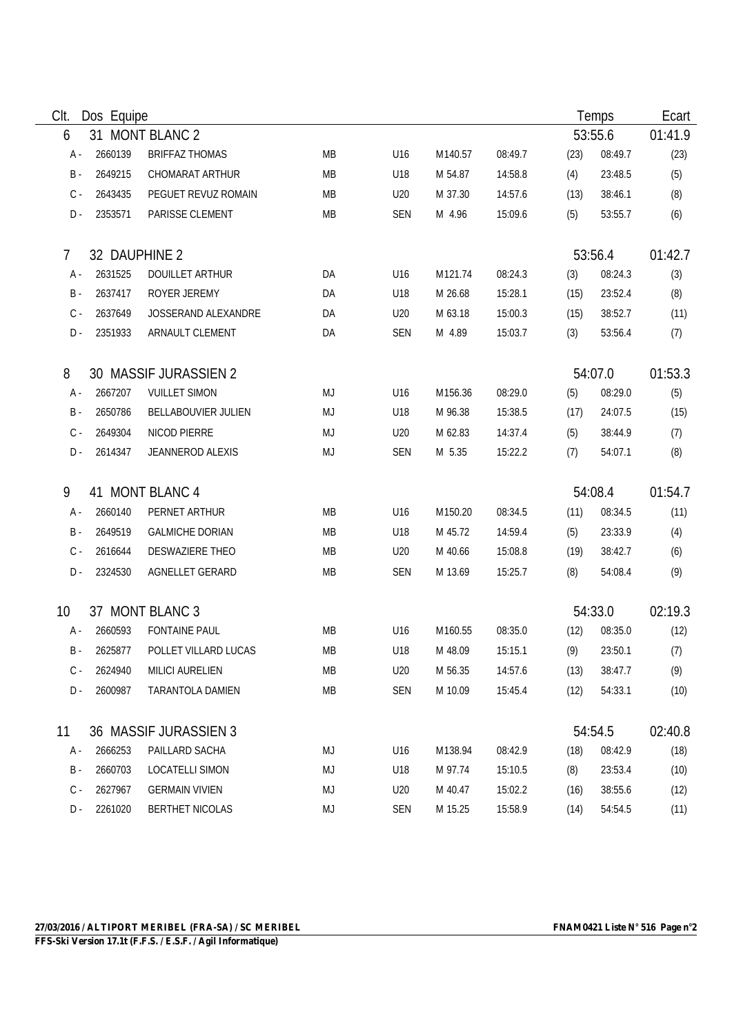| Clt.           | Dos Equipe    |                        |           |            |         |         |         | Temps   |         |
|----------------|---------------|------------------------|-----------|------------|---------|---------|---------|---------|---------|
| 6              |               | 31 MONT BLANC 2        | 53:55.6   |            |         |         | 01:41.9 |         |         |
| A -            | 2660139       | <b>BRIFFAZ THOMAS</b>  | <b>MB</b> | U16        | M140.57 | 08:49.7 | (23)    | 08:49.7 | (23)    |
| $\,$ B $\,$ -  | 2649215       | CHOMARAT ARTHUR        | <b>MB</b> | U18        | M 54.87 | 14:58.8 | (4)     | 23:48.5 | (5)     |
| $C -$          | 2643435       | PEGUET REVUZ ROMAIN    | MB        | U20        | M 37.30 | 14:57.6 | (13)    | 38:46.1 | (8)     |
| $D -$          | 2353571       | PARISSE CLEMENT        | MB        | <b>SEN</b> | M 4.96  | 15:09.6 | (5)     | 53:55.7 | (6)     |
| $\overline{7}$ | 32 DAUPHINE 2 |                        |           |            |         |         |         | 53:56.4 | 01:42.7 |
| $A -$          | 2631525       | <b>DOUILLET ARTHUR</b> | DA        | U16        | M121.74 | 08:24.3 | (3)     | 08:24.3 | (3)     |
| $B -$          | 2637417       | ROYER JEREMY           | DA        | U18        | M 26.68 | 15:28.1 | (15)    | 23:52.4 | (8)     |
| $C -$          | 2637649       | JOSSERAND ALEXANDRE    | DA        | U20        | M 63.18 | 15:00.3 | (15)    | 38:52.7 | (11)    |
| $D -$          | 2351933       | ARNAULT CLEMENT        | DA        | <b>SEN</b> | M 4.89  | 15:03.7 | (3)     | 53:56.4 | (7)     |
| 8              |               | 30 MASSIF JURASSIEN 2  |           |            |         |         |         | 54:07.0 | 01:53.3 |
| A -            | 2667207       | <b>VUILLET SIMON</b>   | MJ        | U16        | M156.36 | 08:29.0 | (5)     | 08:29.0 | (5)     |
| $B -$          | 2650786       | BELLABOUVIER JULIEN    | MJ        | U18        | M 96.38 | 15:38.5 | (17)    | 24:07.5 | (15)    |
| $C -$          | 2649304       | NICOD PIERRE           | MJ        | U20        | M 62.83 | 14:37.4 | (5)     | 38:44.9 | (7)     |
| D -            | 2614347       | JEANNEROD ALEXIS       | MJ        | <b>SEN</b> | M 5.35  | 15:22.2 | (7)     | 54:07.1 | (8)     |
| 9              |               | 41 MONT BLANC 4        |           |            |         |         |         | 54:08.4 | 01:54.7 |
| A -            | 2660140       | PERNET ARTHUR          | <b>MB</b> | U16        | M150.20 | 08:34.5 | (11)    | 08:34.5 | (11)    |
| $B -$          | 2649519       | <b>GALMICHE DORIAN</b> | MB        | U18        | M 45.72 | 14:59.4 | (5)     | 23:33.9 | (4)     |
| $C -$          | 2616644       | DESWAZIERE THEO        | MB        | U20        | M 40.66 | 15:08.8 | (19)    | 38:42.7 | (6)     |
| $D -$          | 2324530       | AGNELLET GERARD        | MB        | <b>SEN</b> | M 13.69 | 15:25.7 | (8)     | 54:08.4 | (9)     |
| 10             |               | 37 MONT BLANC 3        |           |            |         |         |         | 54:33.0 | 02:19.3 |
| A -            | 2660593       | <b>FONTAINE PAUL</b>   | MB        | U16        | M160.55 | 08:35.0 | (12)    | 08:35.0 | (12)    |
| B -            | 2625877       | POLLET VILLARD LUCAS   | МB        | U18        | M 48.09 | 15:15.1 | (9)     | 23:50.1 | (7)     |
| C -            | 2624940       | <b>MILICI AURELIEN</b> | MB        | U20        | M 56.35 | 14:57.6 | (13)    | 38:47.7 | (9)     |
| D-             | 2600987       | TARANTOLA DAMIEN       | MB        | <b>SEN</b> | M 10.09 | 15:45.4 | (12)    | 54:33.1 | (10)    |
| 11             |               | 36 MASSIF JURASSIEN 3  |           |            |         |         |         | 54:54.5 | 02:40.8 |
| A -            | 2666253       | PAILLARD SACHA         | MJ        | U16        | M138.94 | 08:42.9 | (18)    | 08:42.9 | (18)    |
| B -            | 2660703       | LOCATELLI SIMON        | MJ        | U18        | M 97.74 | 15:10.5 | (8)     | 23:53.4 | (10)    |
| $C -$          | 2627967       | <b>GERMAIN VIVIEN</b>  | MJ        | U20        | M 40.47 | 15:02.2 | (16)    | 38:55.6 | (12)    |
| D -            | 2261020       | <b>BERTHET NICOLAS</b> | MJ        | <b>SEN</b> | M 15.25 | 15:58.9 | (14)    | 54:54.5 | (11)    |

 $\overline{\phantom{0}}$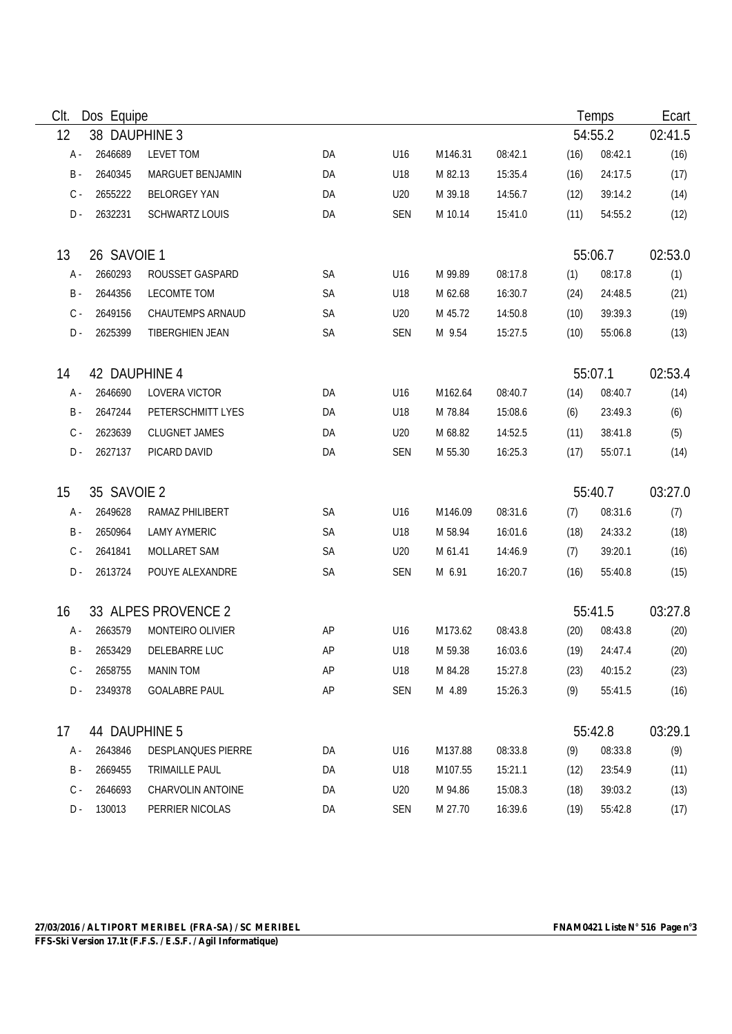| Clt.  | Dos Equipe    |                         |           |            |         |         |         | Temps   | Ecart   |
|-------|---------------|-------------------------|-----------|------------|---------|---------|---------|---------|---------|
| 12    | 38 DAUPHINE 3 |                         |           |            |         |         | 54:55.2 | 02:41.5 |         |
| A -   | 2646689       | <b>LEVET TOM</b>        | DA        | U16        | M146.31 | 08:42.1 | (16)    | 08:42.1 | (16)    |
| $B -$ | 2640345       | MARGUET BENJAMIN        | DA        | U18        | M 82.13 | 15:35.4 | (16)    | 24:17.5 | (17)    |
| $C -$ | 2655222       | <b>BELORGEY YAN</b>     | DA        | U20        | M 39.18 | 14:56.7 | (12)    | 39:14.2 | (14)    |
| $D -$ | 2632231       | <b>SCHWARTZ LOUIS</b>   | DA        | <b>SEN</b> | M 10.14 | 15:41.0 | (11)    | 54:55.2 | (12)    |
| 13    | 26 SAVOIE 1   |                         |           |            |         |         |         | 55:06.7 | 02:53.0 |
| A -   | 2660293       | ROUSSET GASPARD         | SA        | U16        | M 99.89 | 08:17.8 | (1)     | 08:17.8 | (1)     |
| $B -$ | 2644356       | LECOMTE TOM             | SA        | U18        | M 62.68 | 16:30.7 | (24)    | 24:48.5 | (21)    |
| $C -$ | 2649156       | <b>CHAUTEMPS ARNAUD</b> | SA        | U20        | M 45.72 | 14:50.8 | (10)    | 39:39.3 | (19)    |
| D-    | 2625399       | TIBERGHIEN JEAN         | SA        | <b>SEN</b> | M 9.54  | 15:27.5 | (10)    | 55:06.8 | (13)    |
| 14    | 42 DAUPHINE 4 |                         |           |            |         |         |         | 55:07.1 | 02:53.4 |
| A -   | 2646690       | LOVERA VICTOR           | DA        | U16        | M162.64 | 08:40.7 | (14)    | 08:40.7 | (14)    |
| $B -$ | 2647244       | PETERSCHMITT LYES       | DA        | U18        | M 78.84 | 15:08.6 | (6)     | 23:49.3 | (6)     |
| $C -$ | 2623639       | <b>CLUGNET JAMES</b>    | DA        | U20        | M 68.82 | 14:52.5 | (11)    | 38:41.8 | (5)     |
| D -   | 2627137       | PICARD DAVID            | DA        | <b>SEN</b> | M 55.30 | 16:25.3 | (17)    | 55:07.1 | (14)    |
| 15    | 35 SAVOIE 2   |                         |           |            |         |         |         | 55:40.7 | 03:27.0 |
| A -   | 2649628       | RAMAZ PHILIBERT         | <b>SA</b> | U16        | M146.09 | 08:31.6 | (7)     | 08:31.6 | (7)     |
| B -   | 2650964       | <b>LAMY AYMERIC</b>     | SA        | U18        | M 58.94 | 16:01.6 | (18)    | 24:33.2 | (18)    |
| $C -$ | 2641841       | MOLLARET SAM            | SA        | U20        | M 61.41 | 14:46.9 | (7)     | 39:20.1 | (16)    |
| $D -$ | 2613724       | POUYE ALEXANDRE         | SA        | <b>SEN</b> | M 6.91  | 16:20.7 | (16)    | 55:40.8 | (15)    |
| 16    |               | 33 ALPES PROVENCE 2     |           |            |         |         |         | 55:41.5 | 03:27.8 |
| $A -$ | 2663579       | MONTEIRO OLIVIER        | AP        | U16        | M173.62 | 08:43.8 | (20)    | 08:43.8 | (20)    |
| B -   | 2653429       | DELEBARRE LUC           | AP        | U18        | M 59.38 | 16:03.6 | (19)    | 24:47.4 | (20)    |
| C -   | 2658755       | <b>MANIN TOM</b>        | AP        | U18        | M 84.28 | 15:27.8 | (23)    | 40:15.2 | (23)    |
| D -   | 2349378       | <b>GOALABRE PAUL</b>    | AP        | <b>SEN</b> | M 4.89  | 15:26.3 | (9)     | 55:41.5 | (16)    |
| 17    | 44 DAUPHINE 5 |                         |           |            |         |         |         | 55:42.8 | 03:29.1 |
| A -   | 2643846       | DESPLANQUES PIERRE      | DA        | U16        | M137.88 | 08:33.8 | (9)     | 08:33.8 | (9)     |
| B -   | 2669455       | TRIMAILLE PAUL          | DA        | U18        | M107.55 | 15:21.1 | (12)    | 23:54.9 | (11)    |
| $C -$ | 2646693       | CHARVOLIN ANTOINE       | DA        | U20        | M 94.86 | 15:08.3 | (18)    | 39:03.2 | (13)    |
| $D -$ | 130013        | PERRIER NICOLAS         | DA        | <b>SEN</b> | M 27.70 | 16:39.6 | (19)    | 55:42.8 | (17)    |

 $\overline{\phantom{0}}$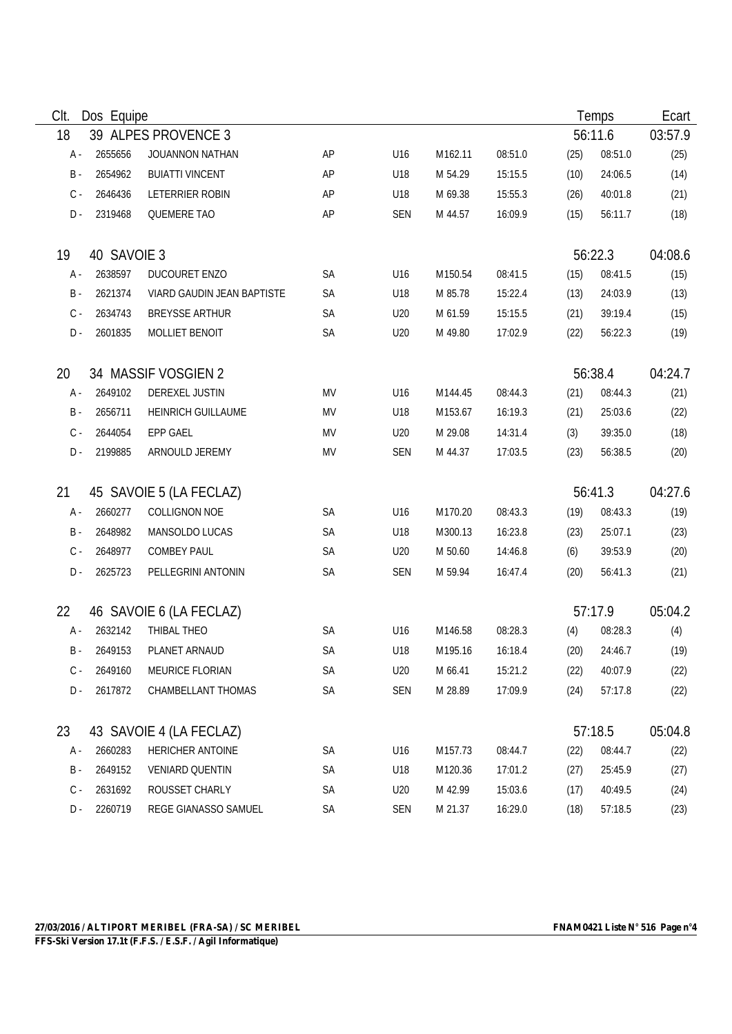| CIt.<br>Dos Equipe |             |                            |           |            |         |         | Temps   |         |         |
|--------------------|-------------|----------------------------|-----------|------------|---------|---------|---------|---------|---------|
| 18                 |             | 39 ALPES PROVENCE 3        |           |            |         |         | 56:11.6 | 03:57.9 |         |
| A -                | 2655656     | <b>JOUANNON NATHAN</b>     | AP        | U16        | M162.11 | 08:51.0 | (25)    | 08:51.0 | (25)    |
| $\,$ B $\,$ -      | 2654962     | <b>BUIATTI VINCENT</b>     | AP        | U18        | M 54.29 | 15:15.5 | (10)    | 24:06.5 | (14)    |
| $C -$              | 2646436     | LETERRIER ROBIN            | AP        | U18        | M 69.38 | 15:55.3 | (26)    | 40:01.8 | (21)    |
| $D -$              | 2319468     | <b>QUEMERE TAO</b>         | AP        | <b>SEN</b> | M 44.57 | 16:09.9 | (15)    | 56:11.7 | (18)    |
| 19                 | 40 SAVOIE 3 |                            |           |            |         |         |         | 56:22.3 | 04:08.6 |
| $A -$              | 2638597     | DUCOURET ENZO              | <b>SA</b> | U16        | M150.54 | 08:41.5 | (15)    | 08:41.5 | (15)    |
| $\,$ B $\,$ -      | 2621374     | VIARD GAUDIN JEAN BAPTISTE | SA        | U18        | M 85.78 | 15:22.4 | (13)    | 24:03.9 | (13)    |
| $C -$              | 2634743     | <b>BREYSSE ARTHUR</b>      | SA        | U20        | M 61.59 | 15:15.5 | (21)    | 39:19.4 | (15)    |
| D -                | 2601835     | MOLLIET BENOIT             | SA        | U20        | M 49.80 | 17:02.9 | (22)    | 56:22.3 | (19)    |
| 20                 |             | 34 MASSIF VOSGIEN 2        |           |            |         |         |         | 56:38.4 | 04:24.7 |
| $A -$              | 2649102     | DEREXEL JUSTIN             | MV        | U16        | M144.45 | 08:44.3 | (21)    | 08:44.3 | (21)    |
| $B -$              | 2656711     | HEINRICH GUILLAUME         | MV        | U18        | M153.67 | 16:19.3 | (21)    | 25:03.6 | (22)    |
| $C -$              | 2644054     | <b>EPP GAEL</b>            | MV        | U20        | M 29.08 | 14:31.4 | (3)     | 39:35.0 | (18)    |
| $D -$              | 2199885     | ARNOULD JEREMY             | MV        | <b>SEN</b> | M 44.37 | 17:03.5 | (23)    | 56:38.5 | (20)    |
| 21                 |             | 45 SAVOIE 5 (LA FECLAZ)    |           |            |         |         |         | 56:41.3 | 04:27.6 |
| A -                | 2660277     | <b>COLLIGNON NOE</b>       | <b>SA</b> | U16        | M170.20 | 08:43.3 | (19)    | 08:43.3 | (19)    |
| $B -$              | 2648982     | MANSOLDO LUCAS             | <b>SA</b> | U18        | M300.13 | 16:23.8 | (23)    | 25:07.1 | (23)    |
| $C -$              | 2648977     | <b>COMBEY PAUL</b>         | <b>SA</b> | U20        | M 50.60 | 14:46.8 | (6)     | 39:53.9 | (20)    |
| $D -$              | 2625723     | PELLEGRINI ANTONIN         | SA        | <b>SEN</b> | M 59.94 | 16:47.4 | (20)    | 56:41.3 | (21)    |
| 22                 |             | 46 SAVOIE 6 (LA FECLAZ)    |           |            |         |         |         | 57:17.9 | 05:04.2 |
| A -                | 2632142     | THIBAL THEO                | SA        | U16        | M146.58 | 08:28.3 | (4)     | 08:28.3 | (4)     |
| B -                | 2649153     | PLANET ARNAUD              | <b>SA</b> | U18        | M195.16 | 16:18.4 | (20)    | 24:46.7 | (19)    |
| C -                | 2649160     | MEURICE FLORIAN            | SA        | U20        | M 66.41 | 15:21.2 | (22)    | 40:07.9 | (22)    |
| D -                | 2617872     | CHAMBELLANT THOMAS         | SA        | <b>SEN</b> | M 28.89 | 17:09.9 | (24)    | 57:17.8 | (22)    |
| 23                 |             | 43 SAVOIE 4 (LA FECLAZ)    |           |            |         |         |         | 57:18.5 | 05:04.8 |
| A -                | 2660283     | HERICHER ANTOINE           | SA        | U16        | M157.73 | 08:44.7 | (22)    | 08:44.7 | (22)    |
| B -                | 2649152     | <b>VENIARD QUENTIN</b>     | SA        | U18        | M120.36 | 17:01.2 | (27)    | 25:45.9 | (27)    |
| $C -$              | 2631692     | ROUSSET CHARLY             | SA        | U20        | M 42.99 | 15:03.6 | (17)    | 40:49.5 | (24)    |
| $D -$              | 2260719     | REGE GIANASSO SAMUEL       | SA        | <b>SEN</b> | M 21.37 | 16:29.0 | (18)    | 57:18.5 | (23)    |

 $\overline{\phantom{0}}$